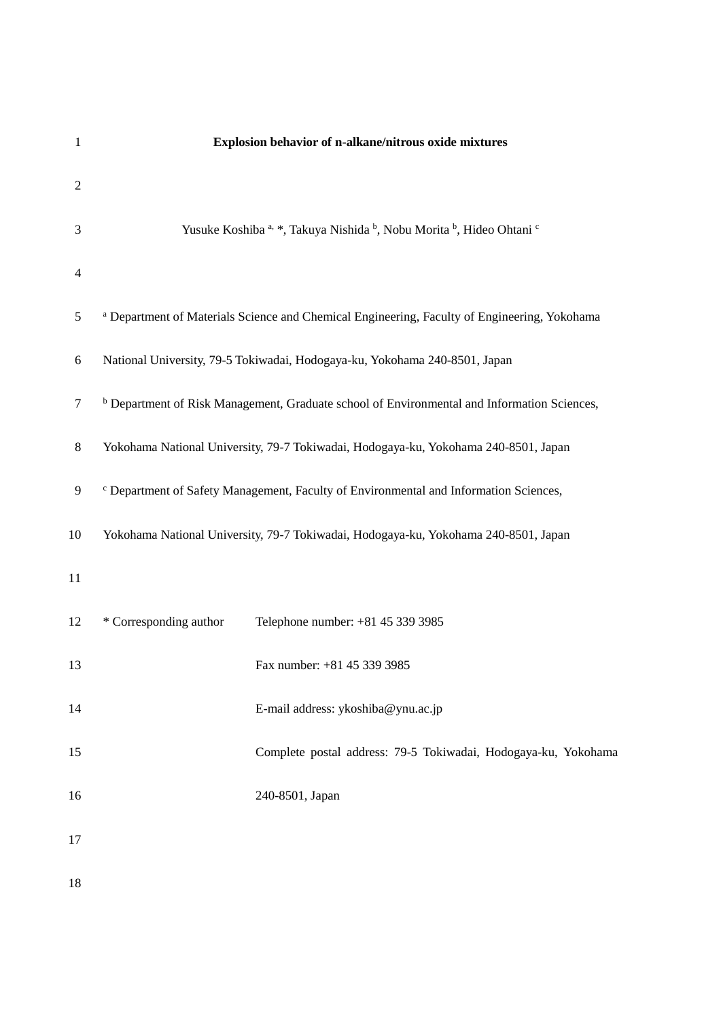| $\mathbf{1}$   |                                                                                                  | Explosion behavior of n-alkane/nitrous oxide mixtures                                                  |  |  |  |  |
|----------------|--------------------------------------------------------------------------------------------------|--------------------------------------------------------------------------------------------------------|--|--|--|--|
| $\overline{c}$ |                                                                                                  |                                                                                                        |  |  |  |  |
| 3              |                                                                                                  | Yusuke Koshiba a, *, Takuya Nishida b, Nobu Morita b, Hideo Ohtani c                                   |  |  |  |  |
| $\overline{4}$ |                                                                                                  |                                                                                                        |  |  |  |  |
| 5              |                                                                                                  | a Department of Materials Science and Chemical Engineering, Faculty of Engineering, Yokohama           |  |  |  |  |
| 6              | National University, 79-5 Tokiwadai, Hodogaya-ku, Yokohama 240-8501, Japan                       |                                                                                                        |  |  |  |  |
| $\tau$         |                                                                                                  | <sup>b</sup> Department of Risk Management, Graduate school of Environmental and Information Sciences, |  |  |  |  |
| $8\,$          | Yokohama National University, 79-7 Tokiwadai, Hodogaya-ku, Yokohama 240-8501, Japan              |                                                                                                        |  |  |  |  |
| $\mathbf{9}$   | <sup>c</sup> Department of Safety Management, Faculty of Environmental and Information Sciences, |                                                                                                        |  |  |  |  |
| 10             |                                                                                                  | Yokohama National University, 79-7 Tokiwadai, Hodogaya-ku, Yokohama 240-8501, Japan                    |  |  |  |  |
| 11             |                                                                                                  |                                                                                                        |  |  |  |  |
| 12             | * Corresponding author                                                                           | Telephone number: +81 45 339 3985                                                                      |  |  |  |  |
| 13             |                                                                                                  | Fax number: +81 45 339 3985                                                                            |  |  |  |  |
| 14             |                                                                                                  | E-mail address: ykoshiba@ynu.ac.jp                                                                     |  |  |  |  |
| 15             |                                                                                                  | Complete postal address: 79-5 Tokiwadai, Hodogaya-ku, Yokohama                                         |  |  |  |  |
| 16             |                                                                                                  | 240-8501, Japan                                                                                        |  |  |  |  |
| 17             |                                                                                                  |                                                                                                        |  |  |  |  |
| 18             |                                                                                                  |                                                                                                        |  |  |  |  |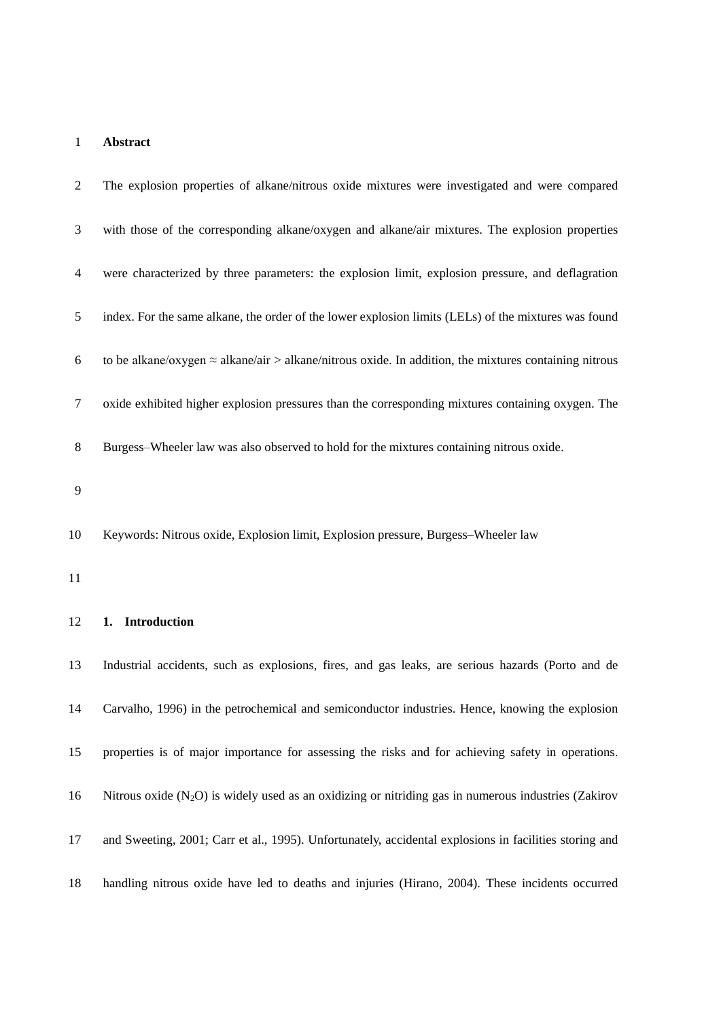## **Abstract**

| 2  | The explosion properties of alkane/nitrous oxide mixtures were investigated and were compared                 |
|----|---------------------------------------------------------------------------------------------------------------|
| 3  | with those of the corresponding alkane/oxygen and alkane/air mixtures. The explosion properties               |
| 4  | were characterized by three parameters: the explosion limit, explosion pressure, and deflagration             |
| 5  | index. For the same alkane, the order of the lower explosion limits (LELs) of the mixtures was found          |
| 6  | to be alkane/oxygen $\approx$ alkane/air > alkane/nitrous oxide. In addition, the mixtures containing nitrous |
| 7  | oxide exhibited higher explosion pressures than the corresponding mixtures containing oxygen. The             |
| 8  | Burgess–Wheeler law was also observed to hold for the mixtures containing nitrous oxide.                      |
| 9  |                                                                                                               |
| 10 | Keywords: Nitrous oxide, Explosion limit, Explosion pressure, Burgess–Wheeler law                             |

## **1. Introduction**

 Industrial accidents, such as explosions, fires, and gas leaks, are serious hazards (Porto and de Carvalho, 1996) in the petrochemical and semiconductor industries. Hence, knowing the explosion properties is of major importance for assessing the risks and for achieving safety in operations. 16 Nitrous oxide  $(N_2O)$  is widely used as an oxidizing or nitriding gas in numerous industries (Zakirov and Sweeting, 2001; Carr et al., 1995). Unfortunately, accidental explosions in facilities storing and handling nitrous oxide have led to deaths and injuries (Hirano, 2004). These incidents occurred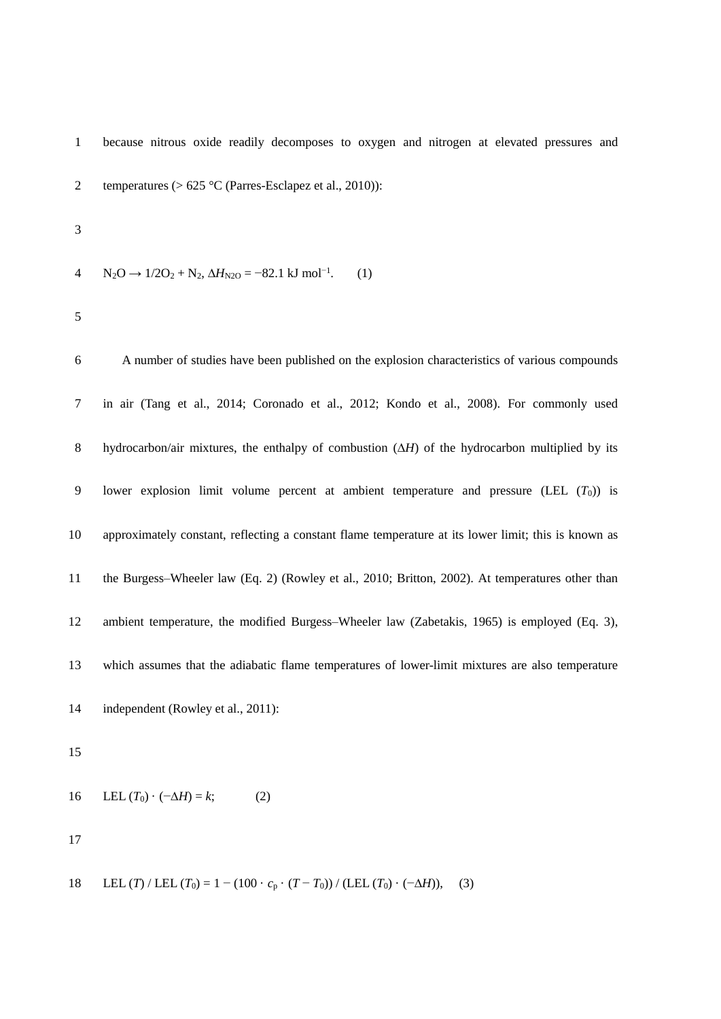because nitrous oxide readily decomposes to oxygen and nitrogen at elevated pressures and temperatures (> 625 °C (Parres-Esclapez et al., 2010)):  $A \text{ N}_2\text{O} \rightarrow 1/2\text{O}_2 + \text{N}_2$ ,  $\Delta H_{N2\text{O}} = -82.1 \text{ kJ} \text{ mol}^{-1}$ . (1) A number of studies have been published on the explosion characteristics of various compounds in air (Tang et al., 2014; Coronado et al., 2012; Kondo et al., 2008). For commonly used 8 hydrocarbon/air mixtures, the enthalpy of combustion  $(\Delta H)$  of the hydrocarbon multiplied by its 9 lower explosion limit volume percent at ambient temperature and pressure  $(LEL (T_0))$  is approximately constant, reflecting a constant flame temperature at its lower limit; this is known as the Burgess–Wheeler law (Eq. 2) (Rowley et al., 2010; Britton, 2002). At temperatures other than ambient temperature, the modified Burgess–Wheeler law (Zabetakis, 1965) is employed (Eq. 3), which assumes that the adiabatic flame temperatures of lower-limit mixtures are also temperature 14 independent (Rowley et al., 2011): 16 LEL  $(T_0) \cdot (-\Delta H) = k$ ; (2) 

18 LEL (*T*) / LEL (*T*<sub>0</sub>) = 1 – (100 · *c*<sub>p</sub> · (*T* − *T*<sub>0</sub>)) / (LEL (*T*<sub>0</sub>) · (−∆*H*)), (3)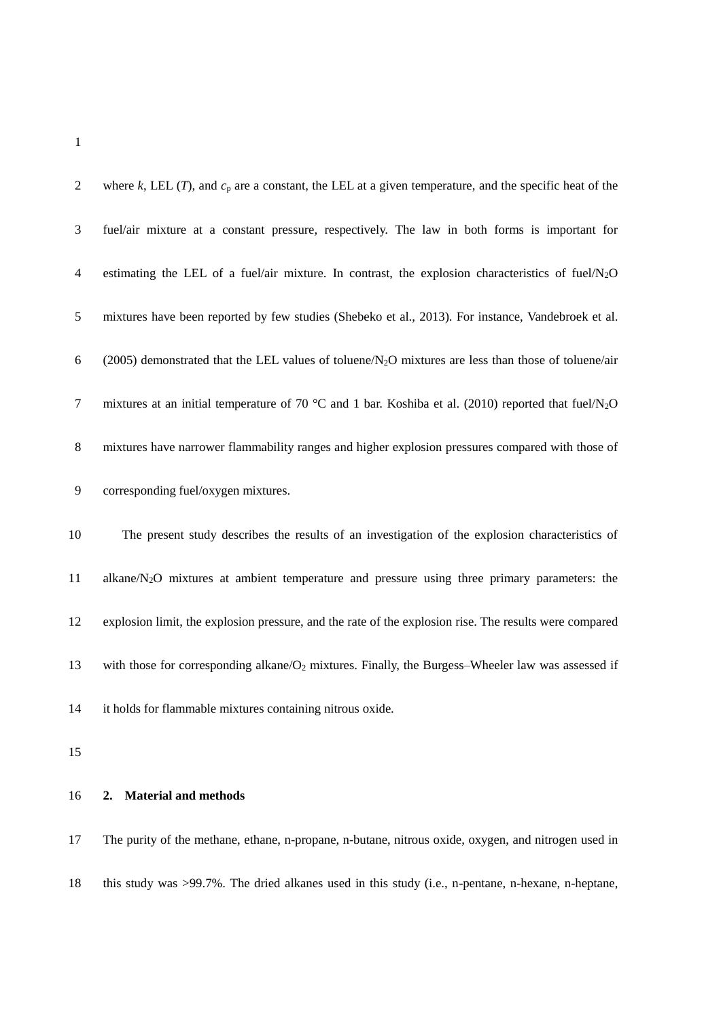| 2  | where k, LEL $(T)$ , and $cp$ are a constant, the LEL at a given temperature, and the specific heat of the        |
|----|-------------------------------------------------------------------------------------------------------------------|
| 3  | fuel/air mixture at a constant pressure, respectively. The law in both forms is important for                     |
| 4  | estimating the LEL of a fuel/air mixture. In contrast, the explosion characteristics of fuel/ $N_2O$              |
| 5  | mixtures have been reported by few studies (Shebeko et al., 2013). For instance, Vandebroek et al.                |
| 6  | $(2005)$ demonstrated that the LEL values of toluene/N <sub>2</sub> O mixtures are less than those of toluene/air |
| 7  | mixtures at an initial temperature of 70 °C and 1 bar. Koshiba et al. (2010) reported that fuel/ $N_2O$           |
| 8  | mixtures have narrower flammability ranges and higher explosion pressures compared with those of                  |
| 9  | corresponding fuel/oxygen mixtures.                                                                               |
| 10 | The present study describes the results of an investigation of the explosion characteristics of                   |
| 11 | $alkane/N2O$ mixtures at ambient temperature and pressure using three primary parameters: the                     |
| 12 | explosion limit, the explosion pressure, and the rate of the explosion rise. The results were compared            |

13 with those for corresponding alkane/O<sub>2</sub> mixtures. Finally, the Burgess–Wheeler law was assessed if

it holds for flammable mixtures containing nitrous oxide.

## **2. Material and methods**

The purity of the methane, ethane, n-propane, n-butane, nitrous oxide, oxygen, and nitrogen used in

this study was >99.7%. The dried alkanes used in this study (i.e., n-pentane, n-hexane, n-heptane,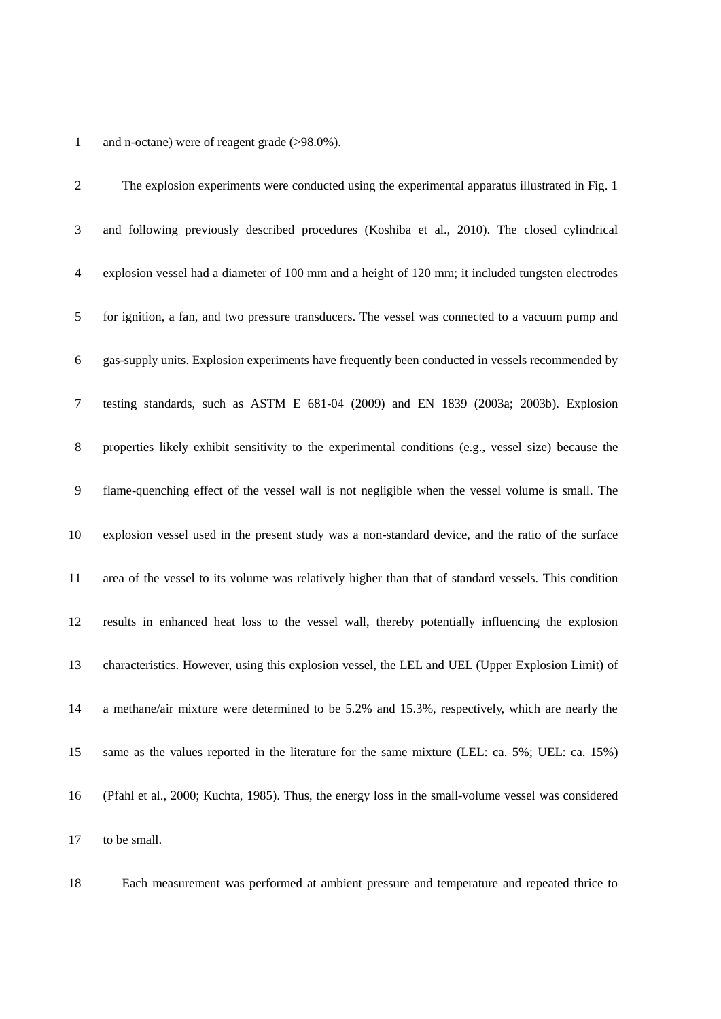## and n-octane) were of reagent grade (>98.0%).

 The explosion experiments were conducted using the experimental apparatus illustrated in Fig. 1 and following previously described procedures (Koshiba et al., 2010). The closed cylindrical explosion vessel had a diameter of 100 mm and a height of 120 mm; it included tungsten electrodes for ignition, a fan, and two pressure transducers. The vessel was connected to a vacuum pump and gas-supply units. Explosion experiments have frequently been conducted in vessels recommended by testing standards, such as ASTM E 681-04 (2009) and EN 1839 (2003a; 2003b). Explosion properties likely exhibit sensitivity to the experimental conditions (e.g., vessel size) because the flame-quenching effect of the vessel wall is not negligible when the vessel volume is small. The explosion vessel used in the present study was a non-standard device, and the ratio of the surface area of the vessel to its volume was relatively higher than that of standard vessels. This condition results in enhanced heat loss to the vessel wall, thereby potentially influencing the explosion characteristics. However, using this explosion vessel, the LEL and UEL (Upper Explosion Limit) of a methane/air mixture were determined to be 5.2% and 15.3%, respectively, which are nearly the same as the values reported in the literature for the same mixture (LEL: ca. 5%; UEL: ca. 15%) (Pfahl et al., 2000; Kuchta, 1985). Thus, the energy loss in the small-volume vessel was considered to be small.

Each measurement was performed at ambient pressure and temperature and repeated thrice to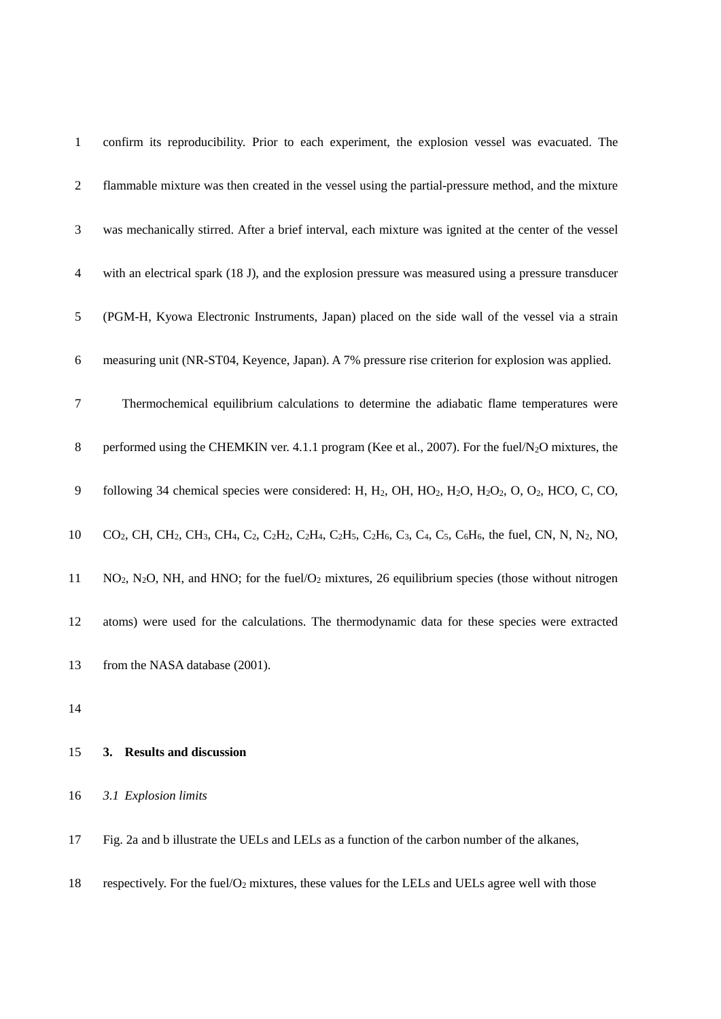| $\mathbf{1}$   | confirm its reproducibility. Prior to each experiment, the explosion vessel was evacuated. The                                                                                                                                                                                                                                                        |
|----------------|-------------------------------------------------------------------------------------------------------------------------------------------------------------------------------------------------------------------------------------------------------------------------------------------------------------------------------------------------------|
| $\overline{2}$ | flammable mixture was then created in the vessel using the partial-pressure method, and the mixture                                                                                                                                                                                                                                                   |
| 3              | was mechanically stirred. After a brief interval, each mixture was ignited at the center of the vessel                                                                                                                                                                                                                                                |
| 4              | with an electrical spark (18 J), and the explosion pressure was measured using a pressure transducer                                                                                                                                                                                                                                                  |
| 5              | (PGM-H, Kyowa Electronic Instruments, Japan) placed on the side wall of the vessel via a strain                                                                                                                                                                                                                                                       |
| 6              | measuring unit (NR-ST04, Keyence, Japan). A 7% pressure rise criterion for explosion was applied.                                                                                                                                                                                                                                                     |
| 7              | Thermochemical equilibrium calculations to determine the adiabatic flame temperatures were                                                                                                                                                                                                                                                            |
| 8              | performed using the CHEMKIN ver. 4.1.1 program (Kee et al., 2007). For the fuel/N <sub>2</sub> O mixtures, the                                                                                                                                                                                                                                        |
| 9              | following 34 chemical species were considered: H, H <sub>2</sub> , OH, HO <sub>2</sub> , H <sub>2</sub> O, H <sub>2</sub> O <sub>2</sub> , O, O <sub>2</sub> , HCO, C, CO,                                                                                                                                                                            |
| 10             | CO <sub>2</sub> , CH, CH <sub>2</sub> , CH <sub>3</sub> , CH <sub>4</sub> , C <sub>2</sub> , C <sub>2</sub> H <sub>2</sub> , C <sub>2</sub> H <sub>4</sub> , C <sub>2</sub> H <sub>5</sub> , C <sub>2</sub> H <sub>6</sub> , C <sub>3</sub> , C <sub>4</sub> , C <sub>5</sub> , C <sub>6</sub> H <sub>6</sub> , the fuel, CN, N, N <sub>2</sub> , NO, |
| 11             | $NO2$ , $N2O$ , NH, and HNO; for the fuel/O <sub>2</sub> mixtures, 26 equilibrium species (those without nitrogen                                                                                                                                                                                                                                     |
| 12             | atoms) were used for the calculations. The thermodynamic data for these species were extracted                                                                                                                                                                                                                                                        |
| 13             | from the NASA database (2001).                                                                                                                                                                                                                                                                                                                        |
| 14             |                                                                                                                                                                                                                                                                                                                                                       |
| 15             | 3. Results and discussion                                                                                                                                                                                                                                                                                                                             |
| 16             | 3.1 Explosion limits                                                                                                                                                                                                                                                                                                                                  |

Fig. 2a and b illustrate the UELs and LELs as a function of the carbon number of the alkanes,

18 respectively. For the fuel/ $O_2$  mixtures, these values for the LELs and UELs agree well with those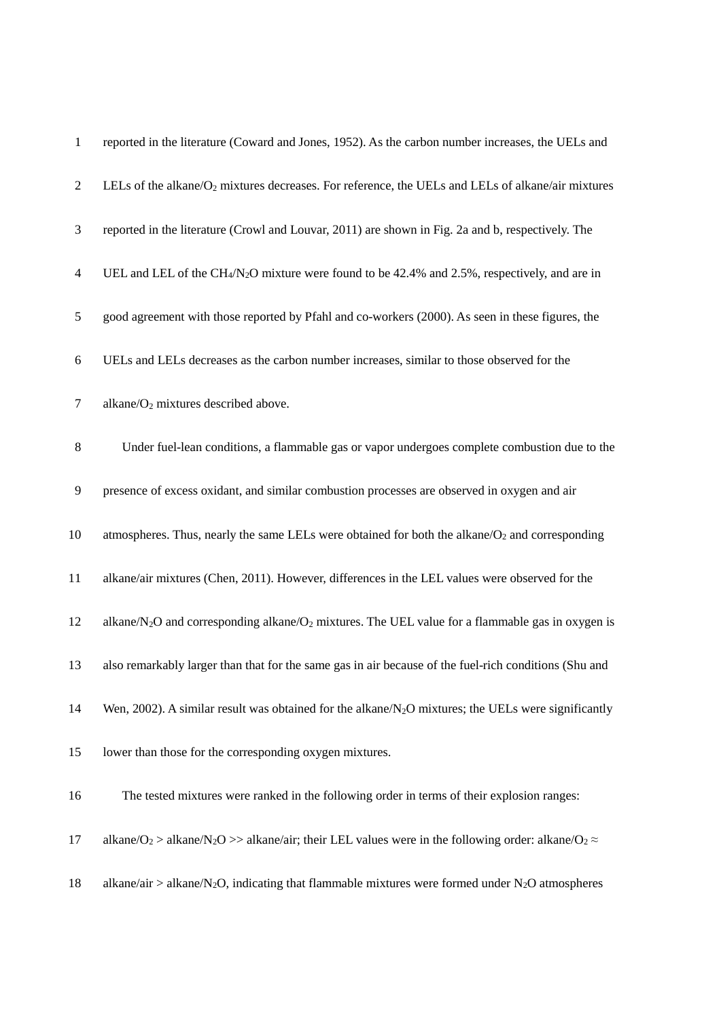| $\mathbf{1}$   | reported in the literature (Coward and Jones, 1952). As the carbon number increases, the UELs and                                            |
|----------------|----------------------------------------------------------------------------------------------------------------------------------------------|
| $\overline{2}$ | LELs of the alkane/ $O_2$ mixtures decreases. For reference, the UELs and LELs of alkane/air mixtures                                        |
| 3              | reported in the literature (Crowl and Louvar, 2011) are shown in Fig. 2a and b, respectively. The                                            |
| 4              | UEL and LEL of the CH <sub>4</sub> /N <sub>2</sub> O mixture were found to be 42.4% and 2.5%, respectively, and are in                       |
| 5              | good agreement with those reported by Pfahl and co-workers (2000). As seen in these figures, the                                             |
| 6              | UELs and LELs decreases as the carbon number increases, similar to those observed for the                                                    |
| 7              | alkane/O <sub>2</sub> mixtures described above.                                                                                              |
| 8              | Under fuel-lean conditions, a flammable gas or vapor undergoes complete combustion due to the                                                |
| 9              | presence of excess oxidant, and similar combustion processes are observed in oxygen and air                                                  |
| 10             | atmospheres. Thus, nearly the same LELs were obtained for both the alkane/O <sub>2</sub> and corresponding                                   |
| 11             | alkane/air mixtures (Chen, 2011). However, differences in the LEL values were observed for the                                               |
| 12             | alkane/ $N_2O$ and corresponding alkane/ $O_2$ mixtures. The UEL value for a flammable gas in oxygen is                                      |
| 13             | also remarkably larger than that for the same gas in air because of the fuel-rich conditions (Shu and                                        |
| 14             | Wen, 2002). A similar result was obtained for the alkane/N <sub>2</sub> O mixtures; the UELs were significantly                              |
| 15             | lower than those for the corresponding oxygen mixtures.                                                                                      |
| 16             | The tested mixtures were ranked in the following order in terms of their explosion ranges:                                                   |
| 17             | alkane/O <sub>2</sub> > alkane/N <sub>2</sub> O >> alkane/air; their LEL values were in the following order: alkane/O <sub>2</sub> $\approx$ |
| 18             | alkane/air > alkane/N <sub>2</sub> O, indicating that flammable mixtures were formed under N <sub>2</sub> O atmospheres                      |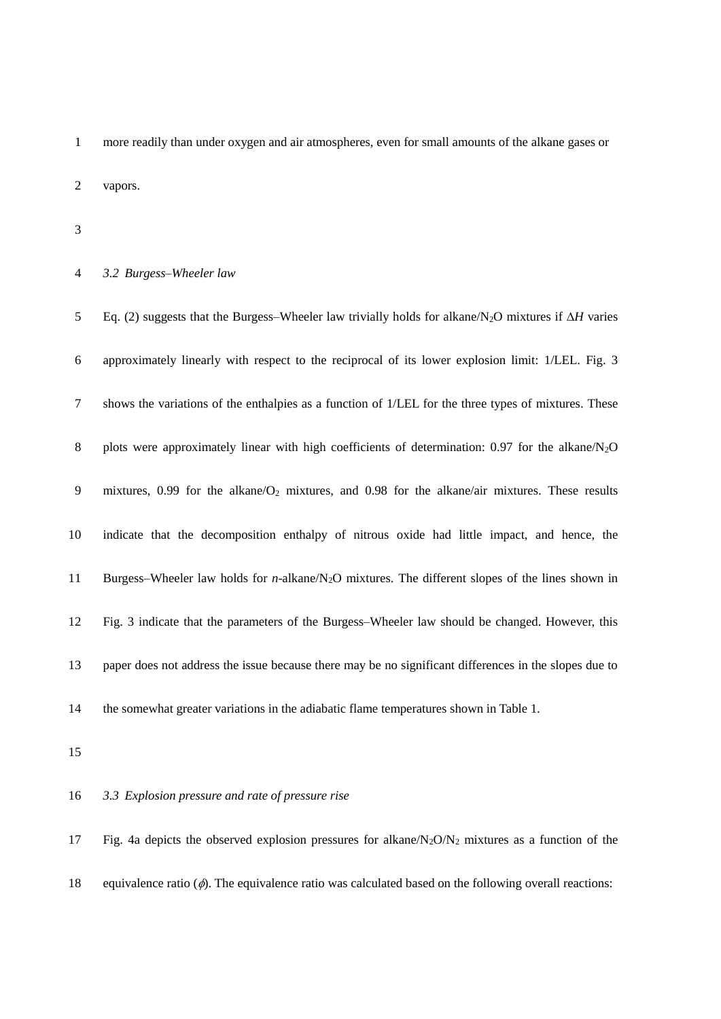more readily than under oxygen and air atmospheres, even for small amounts of the alkane gases or vapors.

#### *3.2 Burgess–Wheeler law*

5 Eq. (2) suggests that the Burgess–Wheeler law trivially holds for alkane/N<sub>2</sub>O mixtures if  $\Delta H$  varies approximately linearly with respect to the reciprocal of its lower explosion limit: 1/LEL. Fig. 3 shows the variations of the enthalpies as a function of 1/LEL for the three types of mixtures. These 8 plots were approximately linear with high coefficients of determination: 0.97 for the alkane/N<sub>2</sub>O mixtures, 0.99 for the alkane/O<sup>2</sup> mixtures, and 0.98 for the alkane/air mixtures. These results indicate that the decomposition enthalpy of nitrous oxide had little impact, and hence, the Burgess–Wheeler law holds for *n*-alkane/N2O mixtures. The different slopes of the lines shown in Fig. 3 indicate that the parameters of the Burgess–Wheeler law should be changed. However, this paper does not address the issue because there may be no significant differences in the slopes due to the somewhat greater variations in the adiabatic flame temperatures shown in Table 1.

## *3.3 Explosion pressure and rate of pressure rise*

17 Fig. 4a depicts the observed explosion pressures for alkane/ $N_2O/N_2$  mixtures as a function of the 18 equivalence ratio  $(\phi)$ . The equivalence ratio was calculated based on the following overall reactions: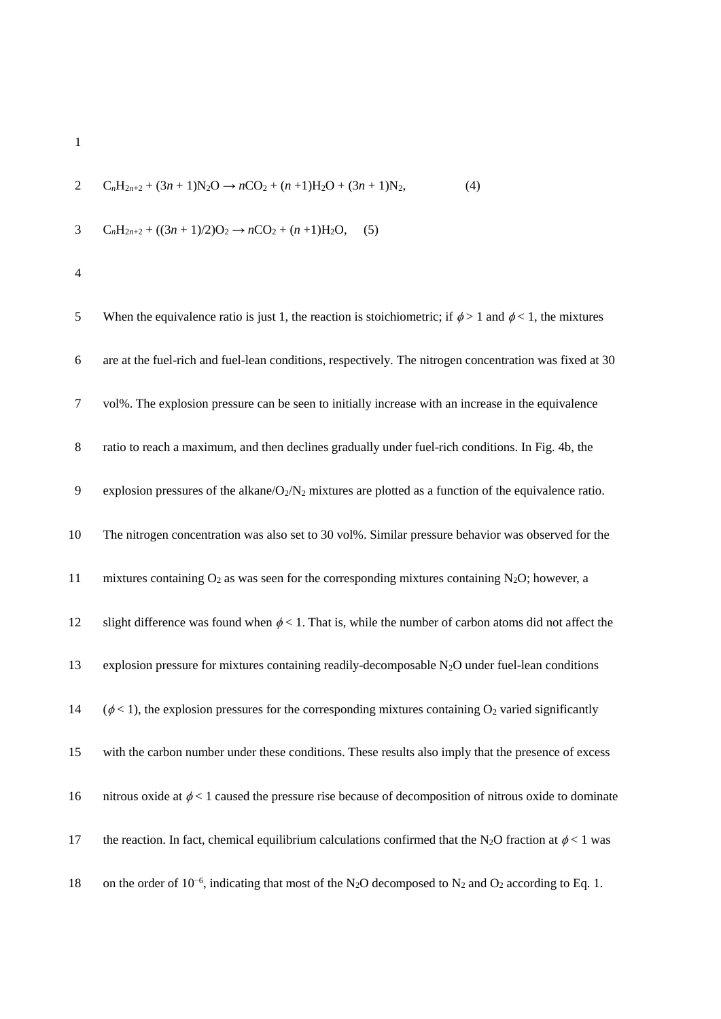1  
\n
$$
C_nH_{2n+2} + (3n+1)N_2O \rightarrow nCO_2 + (n+1)H_2O + (3n+1)N_2,
$$
\n(4)

3 
$$
C_nH_{2n+2} + ((3n+1)/2)O_2 \rightarrow nCO_2 + (n+1)H_2O,
$$
 (5)

| 5      | When the equivalence ratio is just 1, the reaction is stoichiometric; if $\phi > 1$ and $\phi < 1$ , the mixtures                            |
|--------|----------------------------------------------------------------------------------------------------------------------------------------------|
| 6      | are at the fuel-rich and fuel-lean conditions, respectively. The nitrogen concentration was fixed at 30                                      |
| $\tau$ | vol%. The explosion pressure can be seen to initially increase with an increase in the equivalence                                           |
| $8\,$  | ratio to reach a maximum, and then declines gradually under fuel-rich conditions. In Fig. 4b, the                                            |
| 9      | explosion pressures of the alkane/ $O_2/N_2$ mixtures are plotted as a function of the equivalence ratio.                                    |
| 10     | The nitrogen concentration was also set to 30 vol%. Similar pressure behavior was observed for the                                           |
| 11     | mixtures containing $O_2$ as was seen for the corresponding mixtures containing N <sub>2</sub> O; however, a                                 |
| 12     | slight difference was found when $\phi$ < 1. That is, while the number of carbon atoms did not affect the                                    |
| 13     | explosion pressure for mixtures containing readily-decomposable $N_2O$ under fuel-lean conditions                                            |
| 14     | $(\phi < 1)$ , the explosion pressures for the corresponding mixtures containing O <sub>2</sub> varied significantly                         |
| 15     | with the carbon number under these conditions. These results also imply that the presence of excess                                          |
| 16     | nitrous oxide at $\phi$ < 1 caused the pressure rise because of decomposition of nitrous oxide to dominate                                   |
| 17     | the reaction. In fact, chemical equilibrium calculations confirmed that the N <sub>2</sub> O fraction at $\phi$ < 1 was                      |
| 18     | on the order of $10^{-6}$ , indicating that most of the N <sub>2</sub> O decomposed to N <sub>2</sub> and O <sub>2</sub> according to Eq. 1. |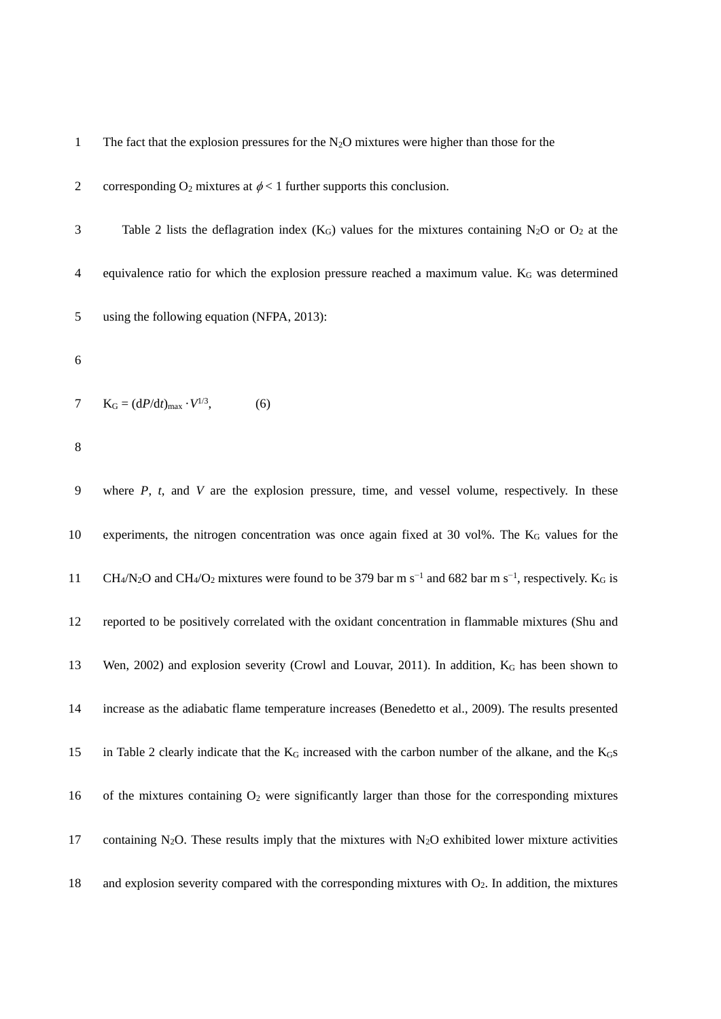1 The fact that the explosion pressures for the  $N_2O$  mixtures were higher than those for the

2 corresponding  $O_2$  mixtures at  $\phi < 1$  further supports this conclusion.

3 Table 2 lists the deflagration index  $(K_G)$  values for the mixtures containing N<sub>2</sub>O or O<sub>2</sub> at the 4 equivalence ratio for which the explosion pressure reached a maximum value. K<sub>G</sub> was determined 5 using the following equation (NFPA, 2013):

6

7  $K_G = (dP/dt)_{max} \cdot V^{1/3}$ , (6)

8

9 where *P*, *t*, and *V* are the explosion pressure, time, and vessel volume, respectively. In these 10 experiments, the nitrogen concentration was once again fixed at 30 vol%. The K<sub>G</sub> values for the CH<sub>4</sub>/N<sub>2</sub>O and CH<sub>4</sub>/O<sub>2</sub> mixtures were found to be 379 bar m s<sup>-1</sup> and 682 bar m s<sup>-1</sup>, respectively. K<sub>G</sub> is 12 reported to be positively correlated with the oxidant concentration in flammable mixtures (Shu and 13 Wen, 2002) and explosion severity (Crowl and Louvar, 2011). In addition, K<sup>G</sup> has been shown to 14 increase as the adiabatic flame temperature increases (Benedetto et al., 2009). The results presented 15 in Table 2 clearly indicate that the K<sub>G</sub> increased with the carbon number of the alkane, and the K<sub>G</sub>s 16 of the mixtures containing O<sup>2</sup> were significantly larger than those for the corresponding mixtures 17 containing N<sub>2</sub>O. These results imply that the mixtures with N<sub>2</sub>O exhibited lower mixture activities 18 and explosion severity compared with the corresponding mixtures with O2. In addition, the mixtures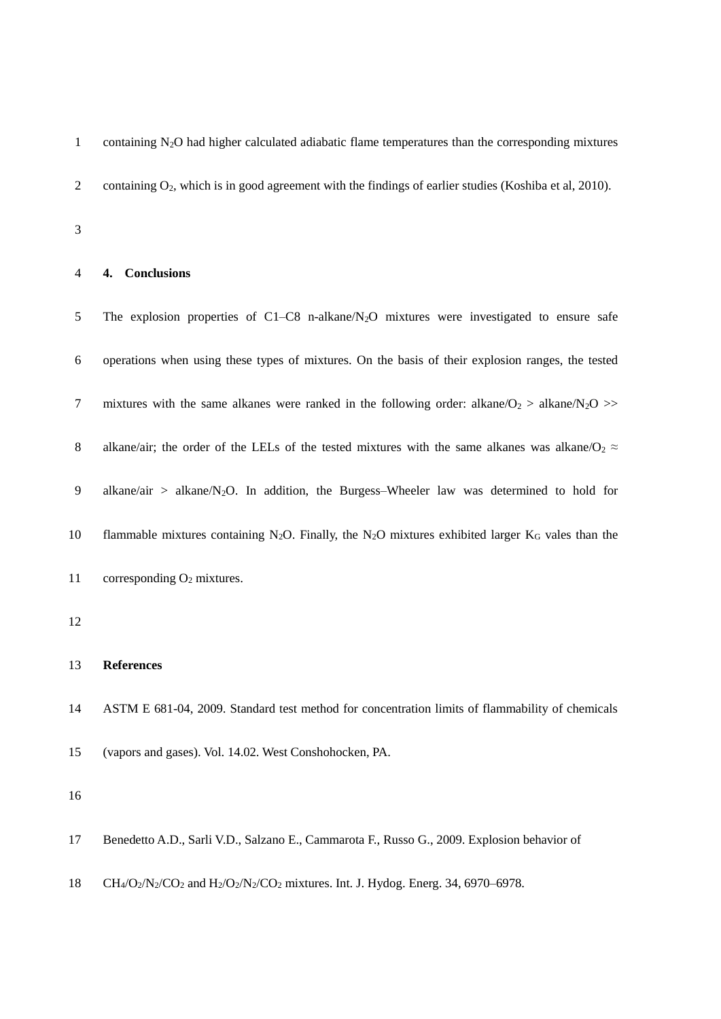1 containing  $N_2O$  had higher calculated adiabatic flame temperatures than the corresponding mixtures 2 containing O<sub>2</sub>, which is in good agreement with the findings of earlier studies (Koshiba et al, 2010).

3

#### 4 **4. Conclusions**

5 The explosion properties of C1–C8 n-alkane/N<sub>2</sub>O mixtures were investigated to ensure safe 6 operations when using these types of mixtures. On the basis of their explosion ranges, the tested 7 mixtures with the same alkanes were ranked in the following order: alkane/ $O_2 >$  alkane/ $N_2O$  >> 8 alkane/air; the order of the LELs of the tested mixtures with the same alkanes was alkane/O<sub>2</sub>  $\approx$ 9 alkane/air > alkane/N2O. In addition, the Burgess–Wheeler law was determined to hold for 10 flammable mixtures containing N<sub>2</sub>O. Finally, the N<sub>2</sub>O mixtures exhibited larger K<sub>G</sub> vales than the 11 corresponding O<sub>2</sub> mixtures. 12 13 **References** 14 ASTM E 681-04, 2009. Standard test method for concentration limits of flammability of chemicals 15 (vapors and gases). Vol. 14.02. West Conshohocken, PA. 16 17 Benedetto A.D., Sarli V.D., Salzano E., Cammarota F., Russo G., 2009. Explosion behavior of

18 CH<sub>4</sub>/O<sub>2</sub>/N<sub>2</sub>/CO<sub>2</sub> and H<sub>2</sub>/O<sub>2</sub>/N<sub>2</sub>/CO<sub>2</sub> mixtures. Int. J. Hydog. Energ. 34, 6970–6978.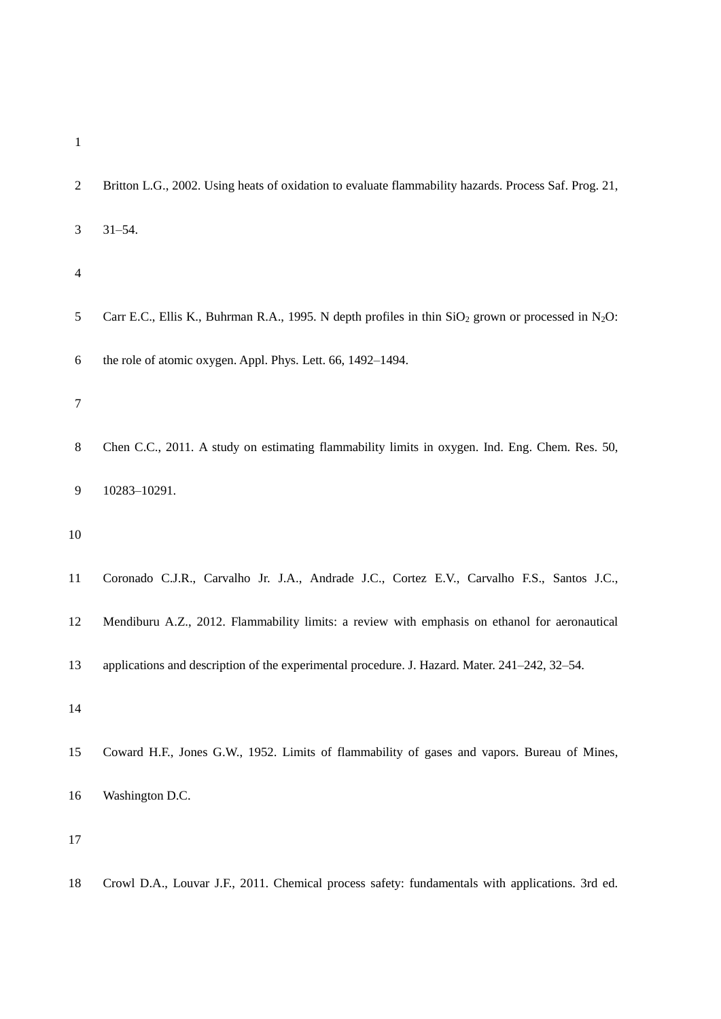- 
- Britton L.G., 2002. Using heats of oxidation to evaluate flammability hazards. Process Saf. Prog. 21, 31–54. 5 Carr E.C., Ellis K., Buhrman R.A., 1995. N depth profiles in thin  $SiO<sub>2</sub>$  grown or processed in N<sub>2</sub>O: the role of atomic oxygen. Appl. Phys. Lett. 66, 1492–1494. Chen C.C., 2011. A study on estimating flammability limits in oxygen. Ind. Eng. Chem. Res. 50, 10283–10291. Coronado C.J.R., Carvalho Jr. J.A., Andrade J.C., Cortez E.V., Carvalho F.S., Santos J.C., Mendiburu A.Z., 2012. Flammability limits: a review with emphasis on ethanol for aeronautical applications and description of the experimental procedure. J. Hazard. Mater. 241–242, 32–54. Coward H.F., Jones G.W., 1952. Limits of flammability of gases and vapors. Bureau of Mines, Washington D.C. Crowl D.A., Louvar J.F., 2011. Chemical process safety: fundamentals with applications. 3rd ed.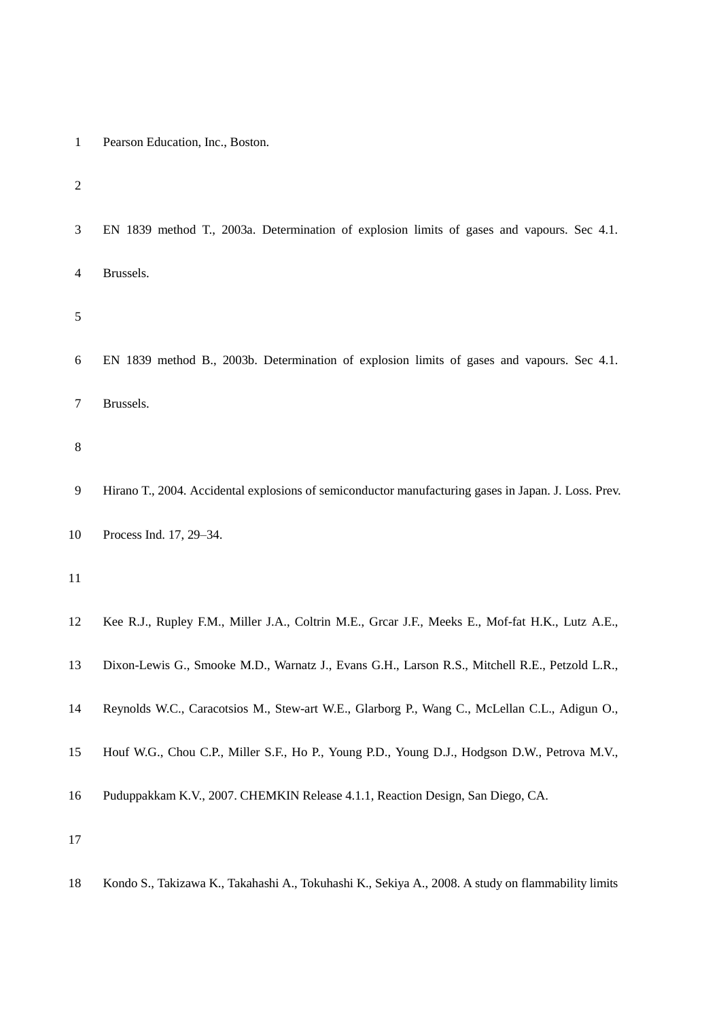| $\mathbf{1}$   | Pearson Education, Inc., Boston.                                                                     |
|----------------|------------------------------------------------------------------------------------------------------|
| $\overline{c}$ |                                                                                                      |
| 3              | EN 1839 method T., 2003a. Determination of explosion limits of gases and vapours. Sec 4.1.           |
| $\overline{4}$ | Brussels.                                                                                            |
| 5              |                                                                                                      |
| 6              | EN 1839 method B., 2003b. Determination of explosion limits of gases and vapours. Sec 4.1.           |
| 7              | Brussels.                                                                                            |
| 8              |                                                                                                      |
| 9              | Hirano T., 2004. Accidental explosions of semiconductor manufacturing gases in Japan. J. Loss. Prev. |
| 10             | Process Ind. 17, 29-34.                                                                              |
| 11             |                                                                                                      |
| 12             | Kee R.J., Rupley F.M., Miller J.A., Coltrin M.E., Grcar J.F., Meeks E., Mof-fat H.K., Lutz A.E.,     |
| 13             | Dixon-Lewis G., Smooke M.D., Warnatz J., Evans G.H., Larson R.S., Mitchell R.E., Petzold L.R.,       |
| 14             | Reynolds W.C., Caracotsios M., Stew-art W.E., Glarborg P., Wang C., McLellan C.L., Adigun O.,        |
| 15             | Houf W.G., Chou C.P., Miller S.F., Ho P., Young P.D., Young D.J., Hodgson D.W., Petrova M.V.,        |
| 16             | Puduppakkam K.V., 2007. CHEMKIN Release 4.1.1, Reaction Design, San Diego, CA.                       |
| 17             |                                                                                                      |
|                |                                                                                                      |

Kondo S., Takizawa K., Takahashi A., Tokuhashi K., Sekiya A., 2008. A study on flammability limits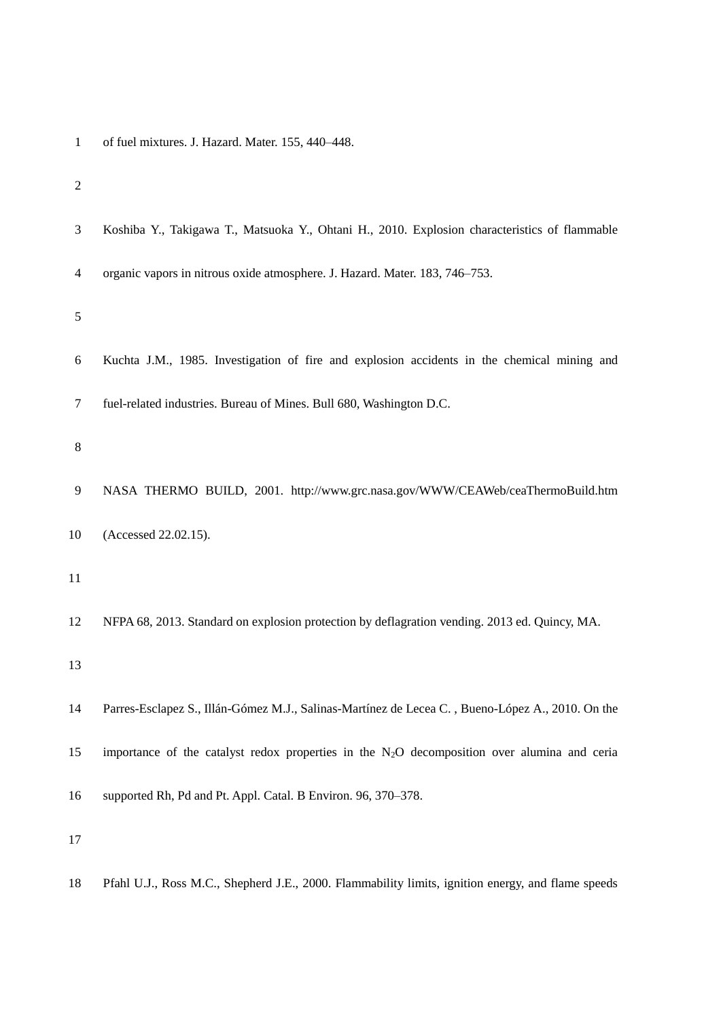| $\mathbf{1}$   | of fuel mixtures. J. Hazard. Mater. 155, 440-448.                                                |
|----------------|--------------------------------------------------------------------------------------------------|
| $\overline{2}$ |                                                                                                  |
| 3              | Koshiba Y., Takigawa T., Matsuoka Y., Ohtani H., 2010. Explosion characteristics of flammable    |
| $\overline{4}$ | organic vapors in nitrous oxide atmosphere. J. Hazard. Mater. 183, 746-753.                      |
| 5              |                                                                                                  |
| 6              | Kuchta J.M., 1985. Investigation of fire and explosion accidents in the chemical mining and      |
| 7              | fuel-related industries. Bureau of Mines. Bull 680, Washington D.C.                              |
| 8              |                                                                                                  |
| 9              | NASA THERMO BUILD, 2001. http://www.grc.nasa.gov/WWW/CEAWeb/ceaThermoBuild.htm                   |
| 10             | (Accessed 22.02.15).                                                                             |
| 11             |                                                                                                  |
| 12             | NFPA 68, 2013. Standard on explosion protection by deflagration vending. 2013 ed. Quincy, MA.    |
| 13             |                                                                                                  |
| 14             | Parres-Esclapez S., Illán-Gómez M.J., Salinas-Martínez de Lecea C., Bueno-López A., 2010. On the |
| 15             | importance of the catalyst redox properties in the $N_2O$ decomposition over alumina and ceria   |
| 16             | supported Rh, Pd and Pt. Appl. Catal. B Environ. 96, 370–378.                                    |
| 17             |                                                                                                  |

Pfahl U.J., Ross M.C., Shepherd J.E., 2000. Flammability limits, ignition energy, and flame speeds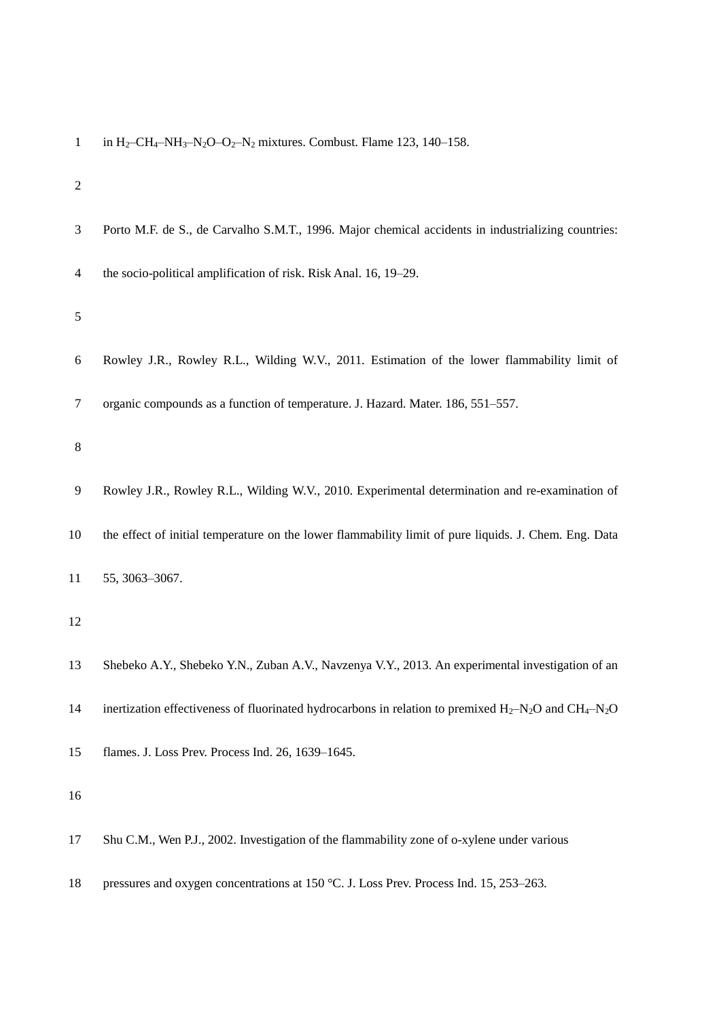|  |  |  |  |  |  | in H <sub>2</sub> -CH <sub>4</sub> -NH <sub>3</sub> -N <sub>2</sub> O-O <sub>2</sub> -N <sub>2</sub> mixtures. Combust. Flame 123, 140-158. |  |  |  |  |  |
|--|--|--|--|--|--|---------------------------------------------------------------------------------------------------------------------------------------------|--|--|--|--|--|
|--|--|--|--|--|--|---------------------------------------------------------------------------------------------------------------------------------------------|--|--|--|--|--|

| $\sqrt{2}$ |                                                                                                           |
|------------|-----------------------------------------------------------------------------------------------------------|
| 3          | Porto M.F. de S., de Carvalho S.M.T., 1996. Major chemical accidents in industrializing countries:        |
| 4          | the socio-political amplification of risk. Risk Anal. 16, 19–29.                                          |
| 5          |                                                                                                           |
| 6          | Rowley J.R., Rowley R.L., Wilding W.V., 2011. Estimation of the lower flammability limit of               |
| 7          | organic compounds as a function of temperature. J. Hazard. Mater. 186, 551-557.                           |
| 8          |                                                                                                           |
| 9          | Rowley J.R., Rowley R.L., Wilding W.V., 2010. Experimental determination and re-examination of            |
| 10         | the effect of initial temperature on the lower flammability limit of pure liquids. J. Chem. Eng. Data     |
| 11         | 55, 3063-3067.                                                                                            |
| 12         |                                                                                                           |
| 13         | Shebeko A.Y., Shebeko Y.N., Zuban A.V., Navzenya V.Y., 2013. An experimental investigation of an          |
| 14         | inertization effectiveness of fluorinated hydrocarbons in relation to premixed $H_2-N_2O$ and $CH_4-N_2O$ |
| 15         | flames. J. Loss Prev. Process Ind. 26, 1639-1645.                                                         |
| 16         |                                                                                                           |
| 17         | Shu C.M., Wen P.J., 2002. Investigation of the flammability zone of o-xylene under various                |
| 18         | pressures and oxygen concentrations at 150 °C. J. Loss Prev. Process Ind. 15, 253-263.                    |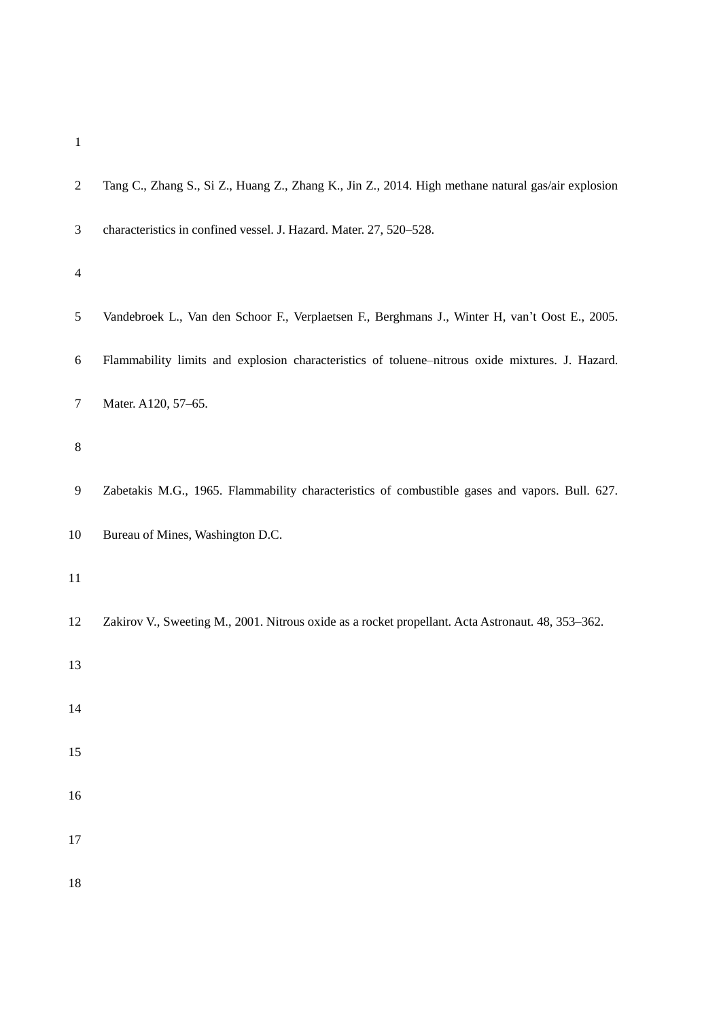| $\mathbf{2}$   | Tang C., Zhang S., Si Z., Huang Z., Zhang K., Jin Z., 2014. High methane natural gas/air explosion |
|----------------|----------------------------------------------------------------------------------------------------|
| $\mathfrak{Z}$ | characteristics in confined vessel. J. Hazard. Mater. 27, 520-528.                                 |
| $\overline{4}$ |                                                                                                    |
| $\sqrt{5}$     | Vandebroek L., Van den Schoor F., Verplaetsen F., Berghmans J., Winter H, van't Oost E., 2005.     |
| 6              | Flammability limits and explosion characteristics of toluene-nitrous oxide mixtures. J. Hazard.    |
| $\tau$         | Mater. A120, 57-65.                                                                                |
| $\,8\,$        |                                                                                                    |
| 9              | Zabetakis M.G., 1965. Flammability characteristics of combustible gases and vapors. Bull. 627.     |
| 10             | Bureau of Mines, Washington D.C.                                                                   |
| 11             |                                                                                                    |
| 12             | Zakirov V., Sweeting M., 2001. Nitrous oxide as a rocket propellant. Acta Astronaut. 48, 353-362.  |
| 13             |                                                                                                    |
| 14             |                                                                                                    |
| 15             |                                                                                                    |
| $16\,$         |                                                                                                    |
| $17\,$         |                                                                                                    |
| $18\,$         |                                                                                                    |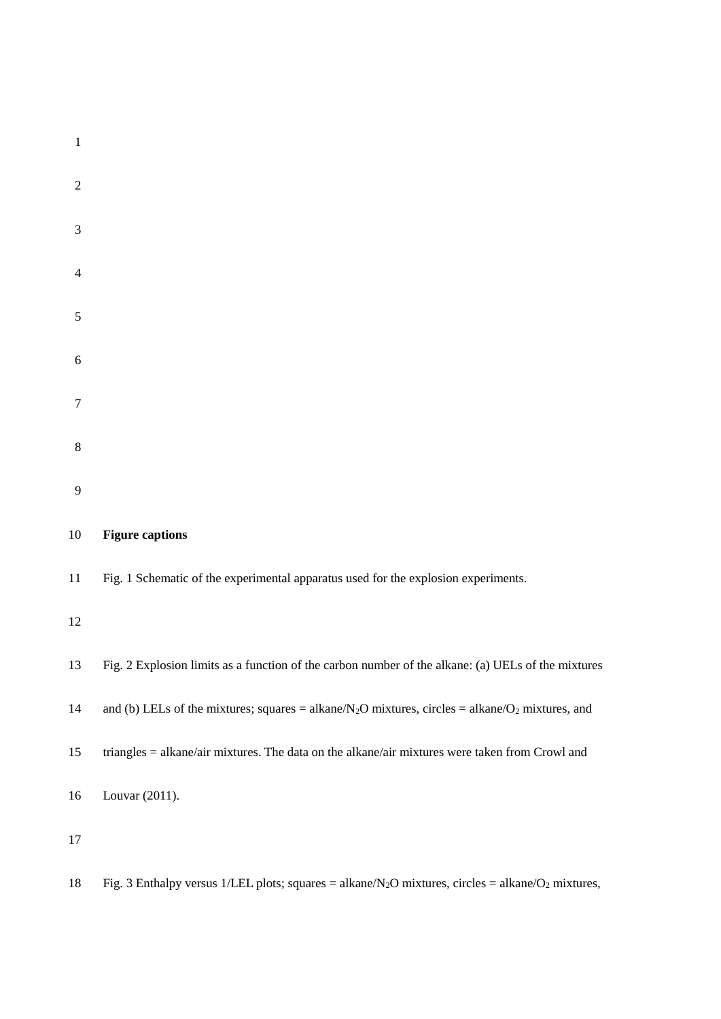| $\mathbf{1}$   |                                                                                                        |
|----------------|--------------------------------------------------------------------------------------------------------|
| $\overline{2}$ |                                                                                                        |
| 3              |                                                                                                        |
| $\overline{4}$ |                                                                                                        |
| 5              |                                                                                                        |
| 6              |                                                                                                        |
| $\tau$         |                                                                                                        |
| 8              |                                                                                                        |
| 9              |                                                                                                        |
| 10             | <b>Figure captions</b>                                                                                 |
| 11             | Fig. 1 Schematic of the experimental apparatus used for the explosion experiments.                     |
| 12             |                                                                                                        |
| 13             | Fig. 2 Explosion limits as a function of the carbon number of the alkane: (a) UELs of the mixtures     |
| 14             | and (b) LELs of the mixtures; squares = alkane/ $N_2O$ mixtures, circles = alkane/ $O_2$ mixtures, and |
| 15             | triangles = alkane/air mixtures. The data on the alkane/air mixtures were taken from Crowl and         |
| 16             | Louvar (2011).                                                                                         |
| 17             |                                                                                                        |

18 Fig. 3 Enthalpy versus 1/LEL plots; squares = alkane/N<sub>2</sub>O mixtures, circles = alkane/O<sub>2</sub> mixtures,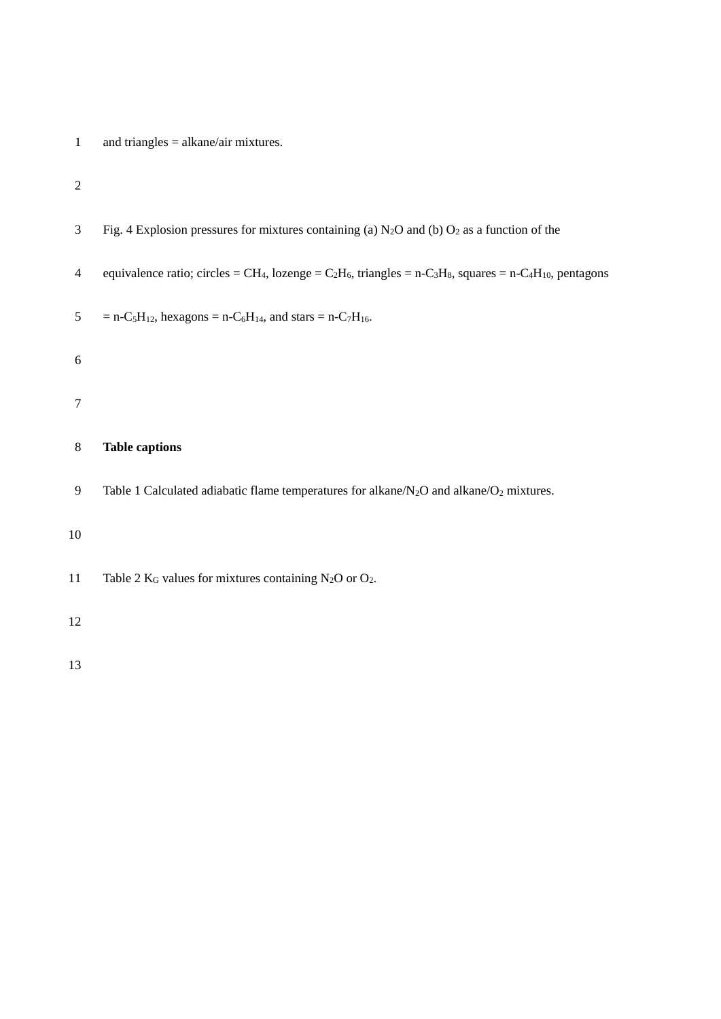# 2

| 3            | Fig. 4 Explosion pressures for mixtures containing (a) $N_2O$ and (b) $O_2$ as a function of the                                                                                              |
|--------------|-----------------------------------------------------------------------------------------------------------------------------------------------------------------------------------------------|
| 4            | equivalence ratio; circles = CH <sub>4</sub> , lozenge = C <sub>2</sub> H <sub>6</sub> , triangles = n-C <sub>3</sub> H <sub>8</sub> , squares = n-C <sub>4</sub> H <sub>10</sub> , pentagons |
| 5            | = n-C <sub>5</sub> H <sub>12</sub> , hexagons = n-C <sub>6</sub> H <sub>14</sub> , and stars = n-C <sub>7</sub> H <sub>16</sub> .                                                             |
| 6            |                                                                                                                                                                                               |
| $\tau$       |                                                                                                                                                                                               |
| 8            | <b>Table captions</b>                                                                                                                                                                         |
| $\mathbf{9}$ | Table 1 Calculated adiabatic flame temperatures for alkane/ $N_2O$ and alkane/ $O_2$ mixtures.                                                                                                |
| 10           |                                                                                                                                                                                               |
| 11           | Table 2 $K_G$ values for mixtures containing N <sub>2</sub> O or O <sub>2</sub> .                                                                                                             |
| 12           |                                                                                                                                                                                               |
| 13           |                                                                                                                                                                                               |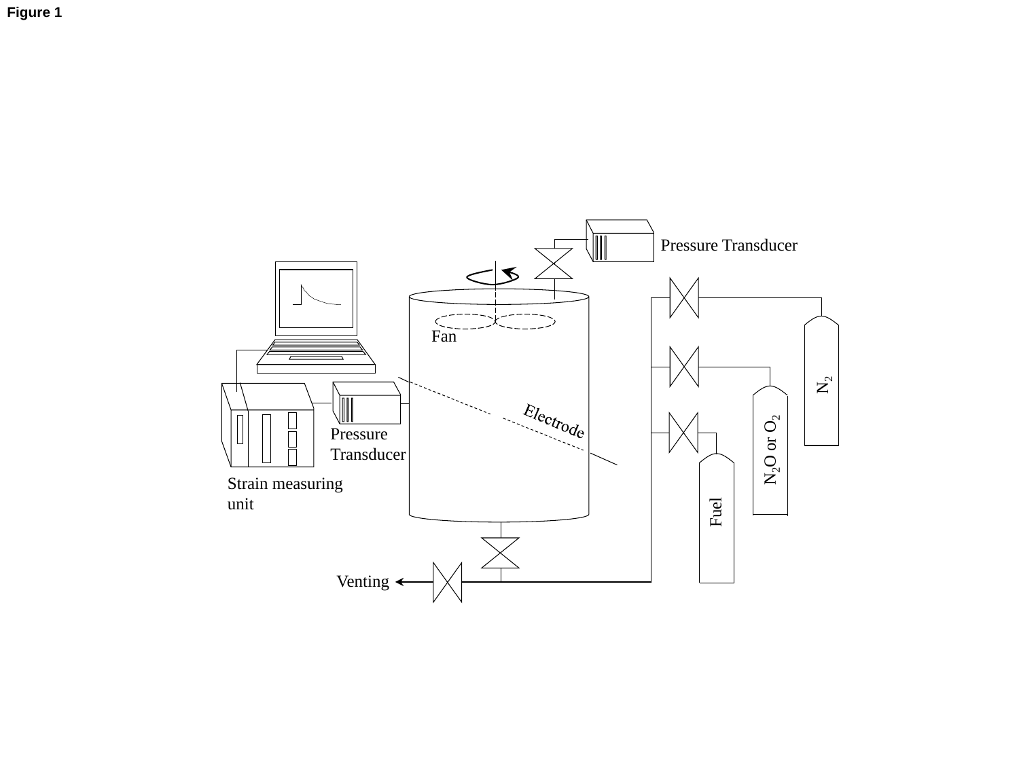**Figure 1**

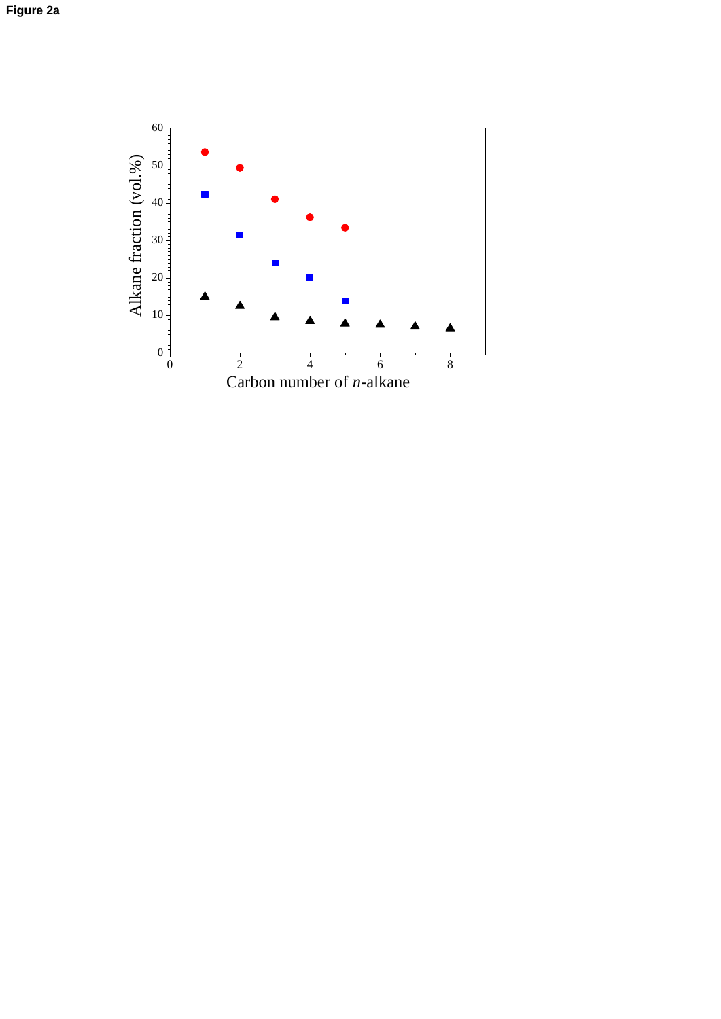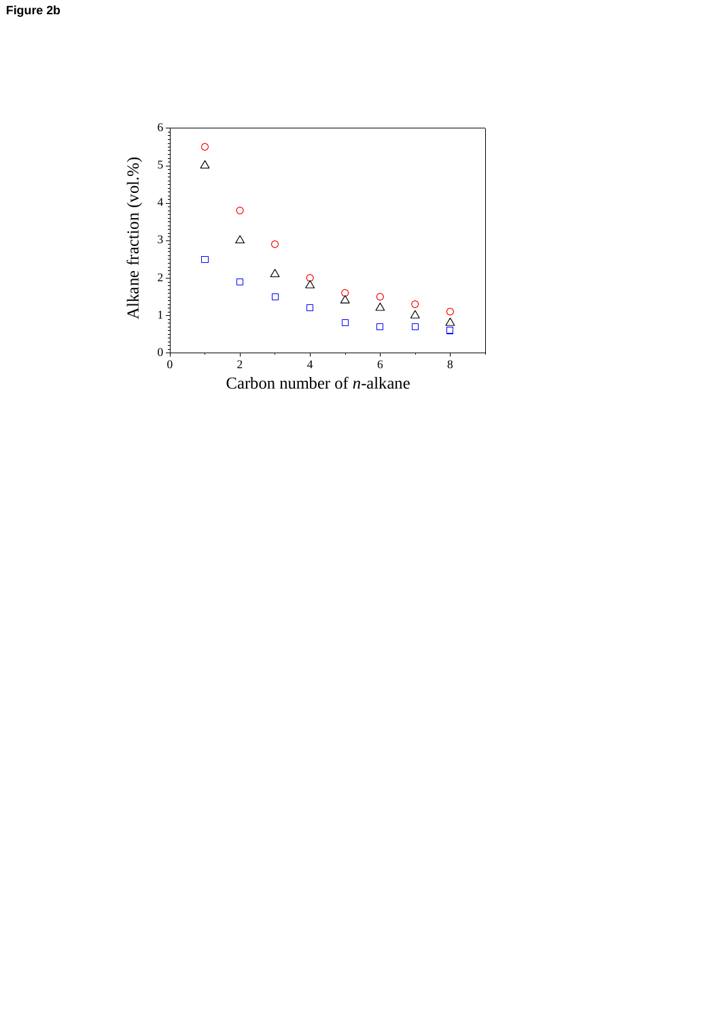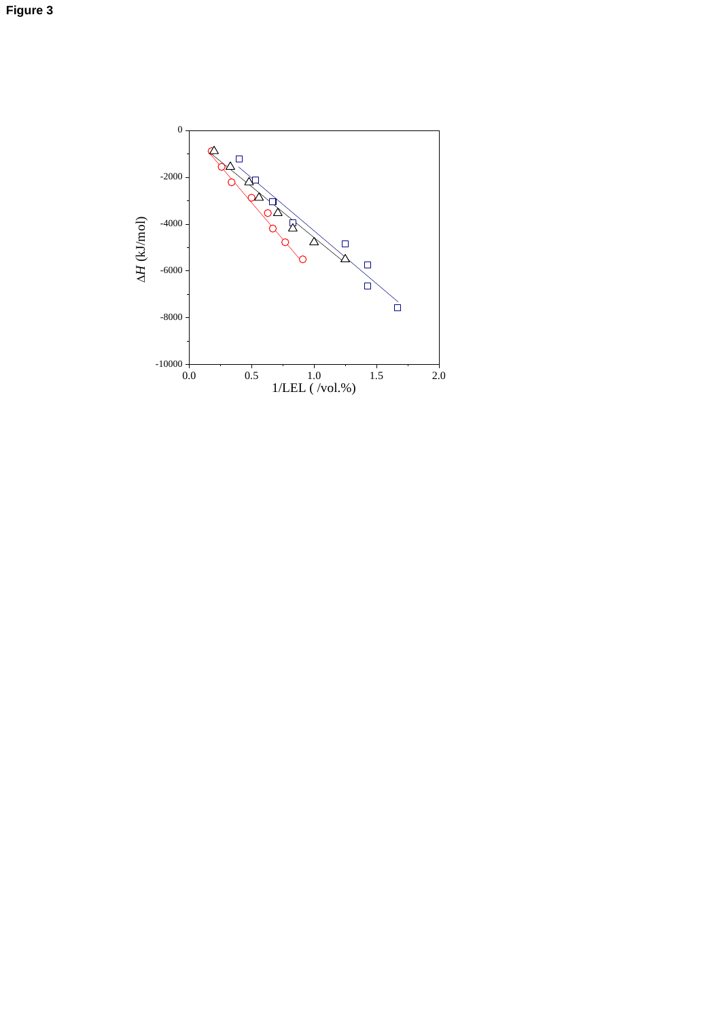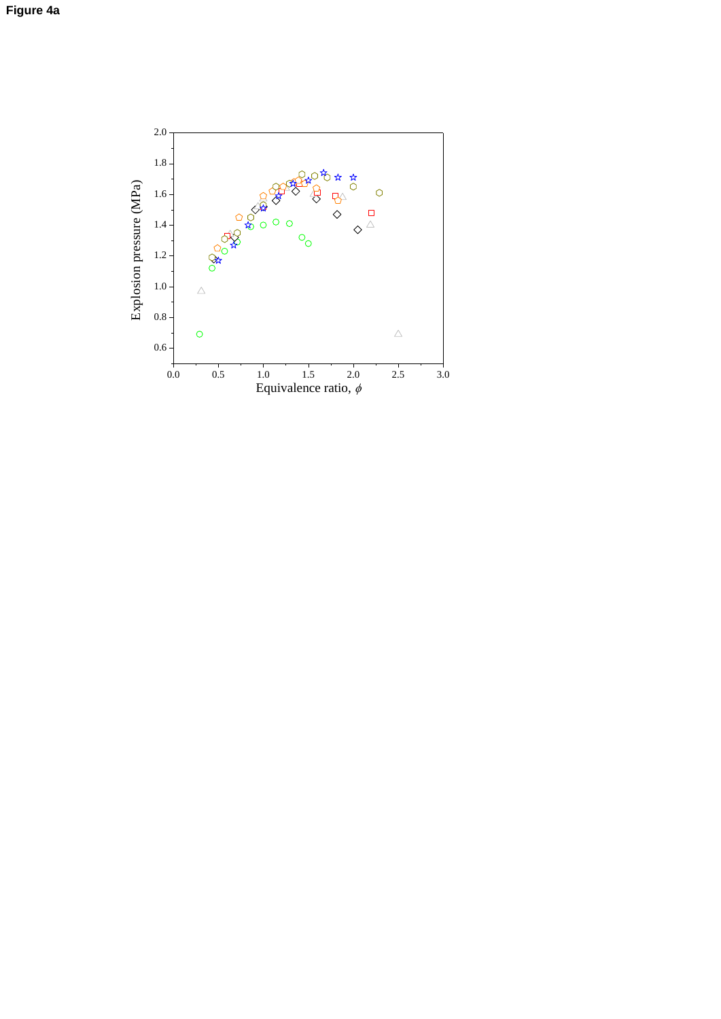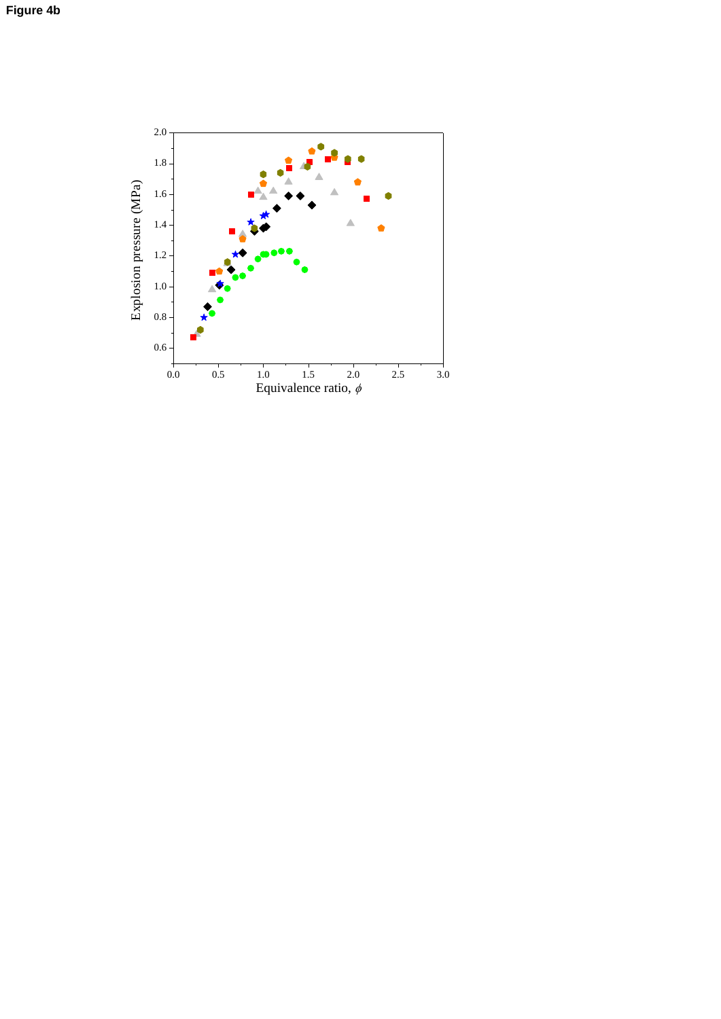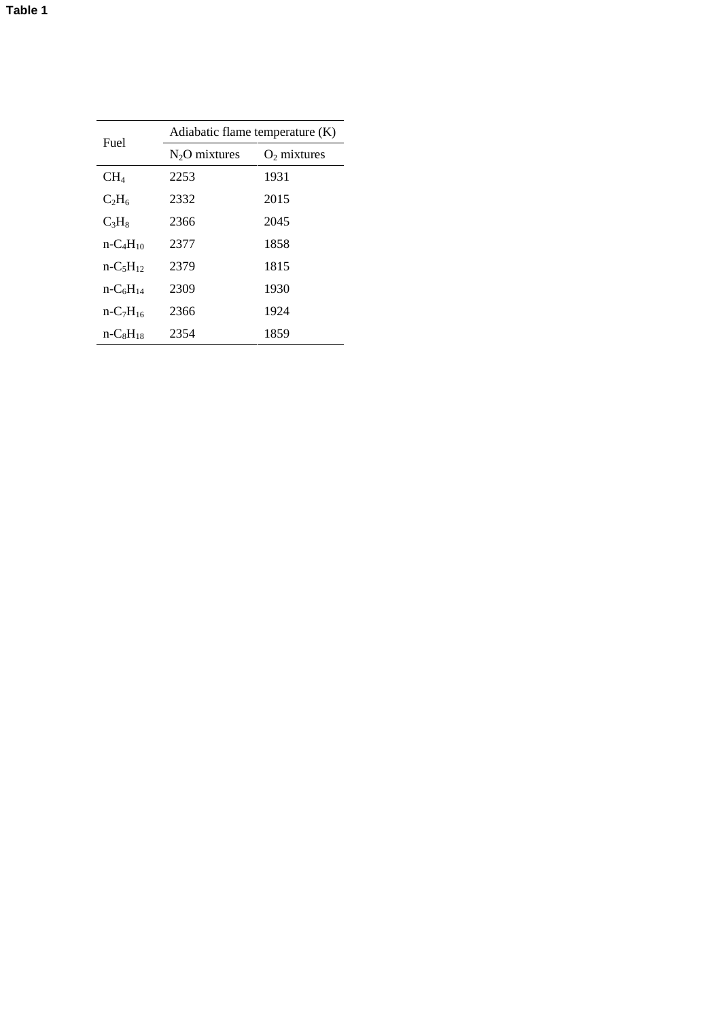| Fuel            | Adiabatic flame temperature $(K)$ |               |  |
|-----------------|-----------------------------------|---------------|--|
|                 | $N2O$ mixtures                    | $O2$ mixtures |  |
| CH <sub>4</sub> | 2253                              | 1931          |  |
| $C_2H_6$        | 2332                              | 2015          |  |
| $C_3H_8$        | 2366                              | 2045          |  |
| $n - C4H10$     | 2377                              | 1858          |  |
| $n - C_5H_{12}$ | 2379                              | 1815          |  |
| $n-C6H14$       | 2309                              | 1930          |  |
| $n - C_7H_{16}$ | 2366                              | 1924          |  |
| $n-C_8H_{18}$   | 2354                              | 1859          |  |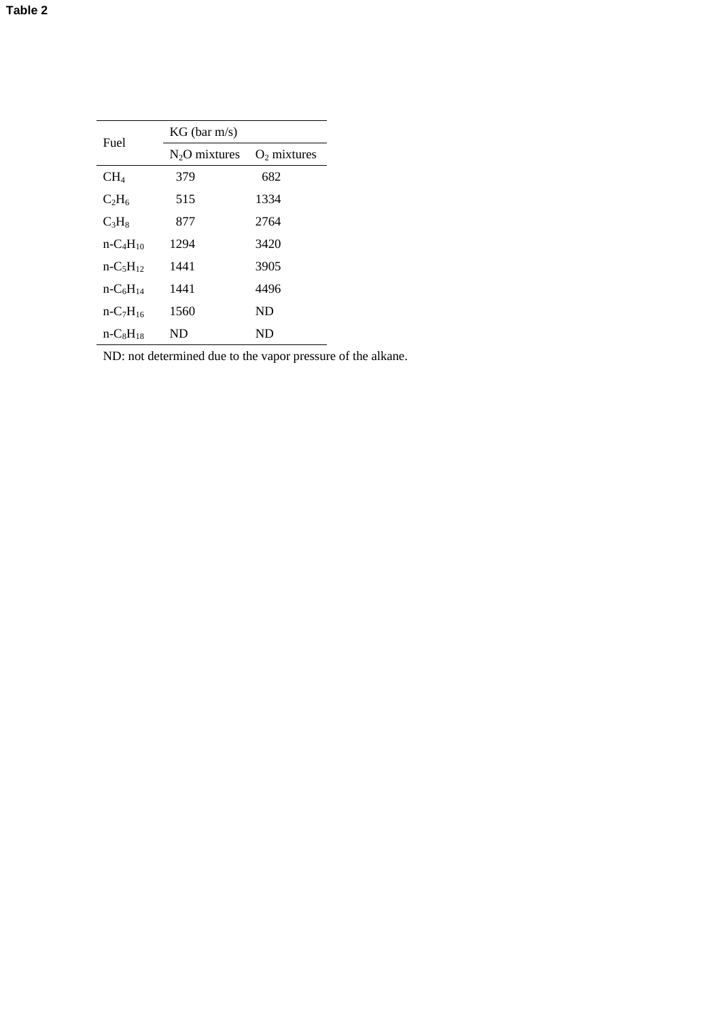| Fuel            | $KG$ (bar m/s) |                |  |
|-----------------|----------------|----------------|--|
|                 | $N2O$ mixtures | $O_2$ mixtures |  |
| $CH_4$          | 379            | 682            |  |
| $C_2H_6$        | 515            | 1334           |  |
| $C_3H_8$        | 877            | 2764           |  |
| $n - C4H10$     | 1294           | 3420           |  |
| $n-C5H12$       | 1441           | 3905           |  |
| $n - C_6H_{14}$ | 1441           | 4496           |  |
| $n-C7H16$       | 1560           | ND             |  |
| $n-C_8H_{18}$   | ND             | ND             |  |

ND: not determined due to the vapor pressure of the alkane.